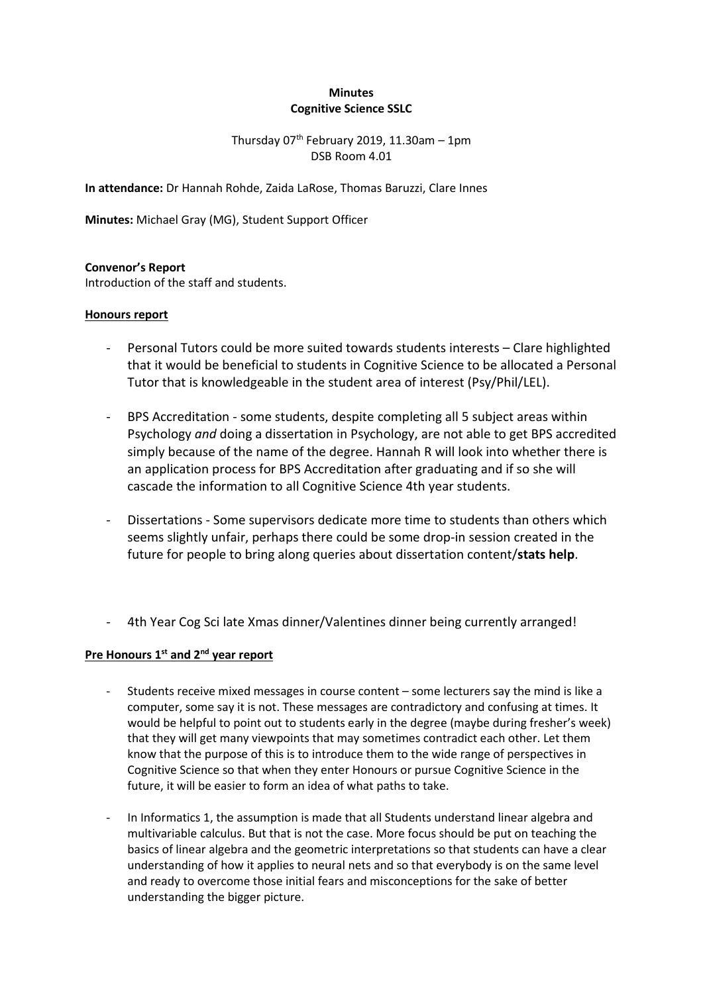## **Minutes Cognitive Science SSLC**

# Thursday  $07<sup>th</sup>$  February 2019, 11.30am - 1pm DSB Room 4.01

**In attendance:** Dr Hannah Rohde, Zaida LaRose, Thomas Baruzzi, Clare Innes

**Minutes:** Michael Gray (MG), Student Support Officer

### **Convenor's Report**

Introduction of the staff and students.

### **Honours report**

- Personal Tutors could be more suited towards students interests Clare highlighted that it would be beneficial to students in Cognitive Science to be allocated a Personal Tutor that is knowledgeable in the student area of interest (Psy/Phil/LEL).
- BPS Accreditation some students, despite completing all 5 subject areas within Psychology *and* doing a dissertation in Psychology, are not able to get BPS accredited simply because of the name of the degree. Hannah R will look into whether there is an application process for BPS Accreditation after graduating and if so she will cascade the information to all Cognitive Science 4th year students.
- Dissertations Some supervisors dedicate more time to students than others which seems slightly unfair, perhaps there could be some drop-in session created in the future for people to bring along queries about dissertation content/**stats help**.
- 4th Year Cog Sci late Xmas dinner/Valentines dinner being currently arranged!

# **Pre Honours 1st and 2nd year report**

- Students receive mixed messages in course content some lecturers say the mind is like a computer, some say it is not. These messages are contradictory and confusing at times. It would be helpful to point out to students early in the degree (maybe during fresher's week) that they will get many viewpoints that may sometimes contradict each other. Let them know that the purpose of this is to introduce them to the wide range of perspectives in Cognitive Science so that when they enter Honours or pursue Cognitive Science in the future, it will be easier to form an idea of what paths to take.
- In Informatics 1, the assumption is made that all Students understand linear algebra and multivariable calculus. But that is not the case. More focus should be put on teaching the basics of linear algebra and the geometric interpretations so that students can have a clear understanding of how it applies to neural nets and so that everybody is on the same level and ready to overcome those initial fears and misconceptions for the sake of better understanding the bigger picture.